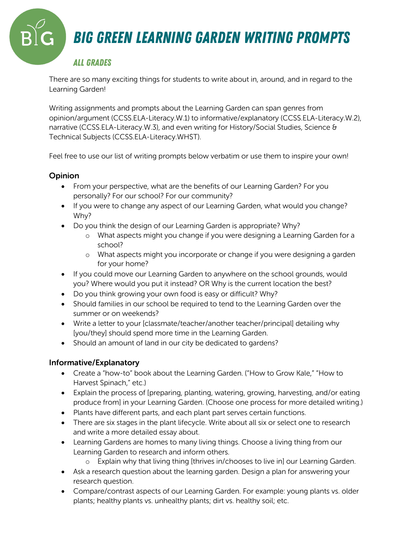## *Big Green Learning Garden Writing Prompts*

### *All Grades*

There are so many exciting things for students to write about in, around, and in regard to the Learning Garden!

Writing assignments and prompts about the Learning Garden can span genres from opinion/argument (CCSS.ELA-Literacy.W.1) to informative/explanatory (CCSS.ELA-Literacy.W.2), narrative (CCSS.ELA-Literacy.W.3), and even writing for History/Social Studies, Science & Technical Subjects (CCSS.ELA-Literacy.WHST).

Feel free to use our list of writing prompts below verbatim or use them to inspire your own!

#### **Opinion**

- From your perspective, what are the benefits of our Learning Garden? For you personally? For our school? For our community?
- If you were to change any aspect of our Learning Garden, what would you change? Why?
- Do you think the design of our Learning Garden is appropriate? Why?
	- o What aspects might you change if you were designing a Learning Garden for a school?
	- o What aspects might you incorporate or change if you were designing a garden for your home?
- If you could move our Learning Garden to anywhere on the school grounds, would you? Where would you put it instead? OR Why is the current location the best?
- Do you think growing your own food is easy or difficult? Why?
- Should families in our school be required to tend to the Learning Garden over the summer or on weekends?
- Write a letter to your [classmate/teacher/another teacher/principal] detailing why [you/they] should spend more time in the Learning Garden.
- Should an amount of land in our city be dedicated to gardens?

#### Informative/Explanatory

- Create a "how-to" book about the Learning Garden. ("How to Grow Kale," "How to Harvest Spinach," etc.)
- Explain the process of [preparing, planting, watering, growing, harvesting, and/or eating produce from] in your Learning Garden. (Choose one process for more detailed writing.)
- Plants have different parts, and each plant part serves certain functions.
- There are six stages in the plant lifecycle. Write about all six or select one to research and write a more detailed essay about.
- Learning Gardens are homes to many living things. Choose a living thing from our Learning Garden to research and inform others.
	- o Explain why that living thing [thrives in/chooses to live in] our Learning Garden.
- Ask a research question about the learning garden. Design a plan for answering your research question.
- Compare/contrast aspects of our Learning Garden. For example: young plants vs. older plants; healthy plants vs. unhealthy plants; dirt vs. healthy soil; etc.